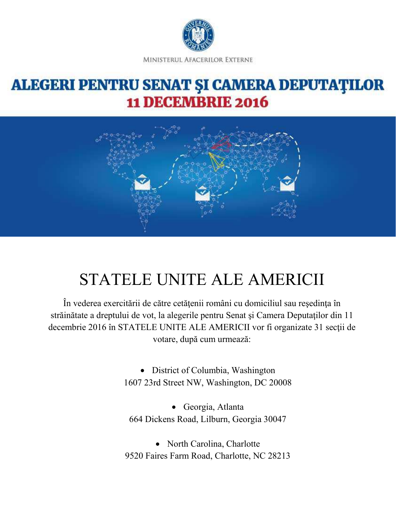

## **ALEGERI PENTRU SENAT ȘI CAMERA DEPUTAȚILOR 11 DECEMBRIE 2016**



# STATELE UNITE ALE AMERICII

În vederea exercitării de către cetăţenii români cu domiciliul sau reşedinţa în străinătate a dreptului de vot, la alegerile pentru Senat şi Camera Deputaţilor din 11 decembrie 2016 în STATELE UNITE ALE AMERICII vor fi organizate 31 secţii de votare, după cum urmează:

> • District of Columbia, Washington 1607 23rd Street NW, Washington, DC 20008

• Georgia, Atlanta 664 Dickens Road, Lilburn, Georgia 30047

• North Carolina, Charlotte 9520 Faires Farm Road, Charlotte, NC 28213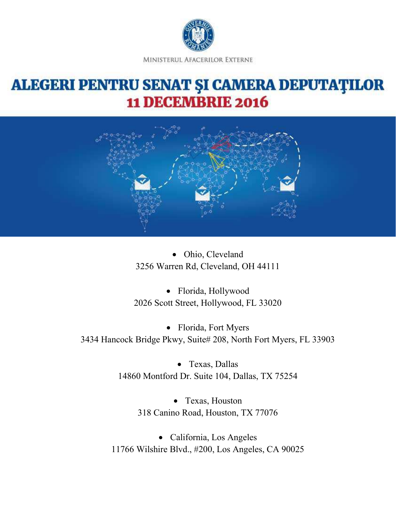

#### **ALEGERI PENTRU SENAT ȘI CAMERA DEPUTAȚILOR 11 DECEMBRIE 2016**



• Ohio, Cleveland 3256 Warren Rd, Cleveland, OH 44111

• Florida, Hollywood 2026 Scott Street, Hollywood, FL 33020

• Florida, Fort Myers 3434 Hancock Bridge Pkwy, Suite# 208, North Fort Myers, FL 33903

> • Texas, Dallas 14860 Montford Dr. Suite 104, Dallas, TX 75254

> > • Texas, Houston 318 Canino Road, Houston, TX 77076

• California, Los Angeles 11766 Wilshire Blvd., #200, Los Angeles, CA 90025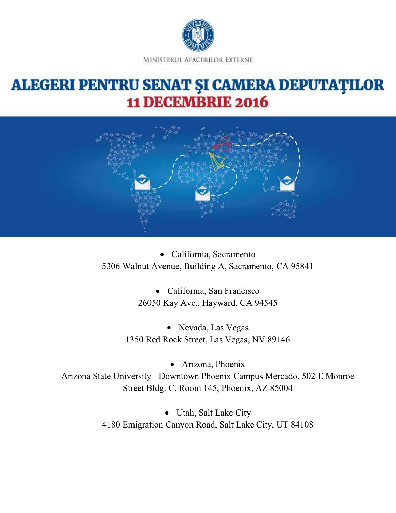

## **ALEGERI PENTRU SENAT ȘI CAMERA DEPUTAȚILOR 11 DECEMBRIE 2016**



• California, Sacramento 5306 Walnut Avenue, Building A, Sacramento, CA 95841

> • California, San Francisco 26050 Kay Ave., Hayward, CA 94545

• Nevada, Las Vegas 1350 Red Rock Street, Las Vegas, NV 89146

• Arizona, Phoenix Arizona State University - Downtown Phoenix Campus Mercado, 502 E Monroe Street Bldg. C, Room 145, Phoenix, AZ 85004

> • Utah, Salt Lake City 4180 Emigration Canyon Road, Salt Lake City, UT 84108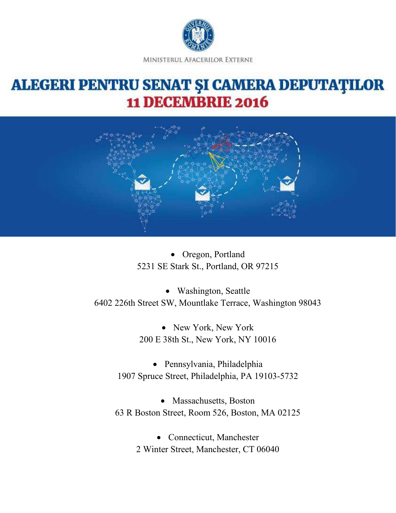

#### **ALEGERI PENTRU SENAT ȘI CAMERA DEPUTAȚILOR 11 DECEMBRIE 2016**



• Oregon, Portland 5231 SE Stark St., Portland, OR 97215

• Washington, Seattle 6402 226th Street SW, Mountlake Terrace, Washington 98043

> • New York, New York 200 E 38th St., New York, NY 10016

• Pennsylvania, Philadelphia 1907 Spruce Street, Philadelphia, PA 19103-5732

• Massachusetts, Boston 63 R Boston Street, Room 526, Boston, MA 02125

> • Connecticut, Manchester 2 Winter Street, Manchester, CT 06040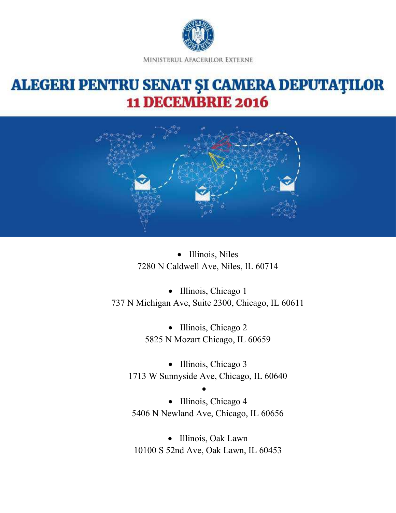

### **ALEGERI PENTRU SENAT ȘI CAMERA DEPUTAȚILOR 11 DECEMBRIE 2016**



• Illinois, Niles 7280 N Caldwell Ave, Niles, IL 60714

• Illinois, Chicago 1 737 N Michigan Ave, Suite 2300, Chicago, IL 60611

> • Illinois, Chicago 2 5825 N Mozart Chicago, IL 60659

• Illinois, Chicago 3 1713 W Sunnyside Ave, Chicago, IL 60640

• • Illinois, Chicago 4 5406 N Newland Ave, Chicago, IL 60656

• Illinois, Oak Lawn 10100 S 52nd Ave, Oak Lawn, IL 60453